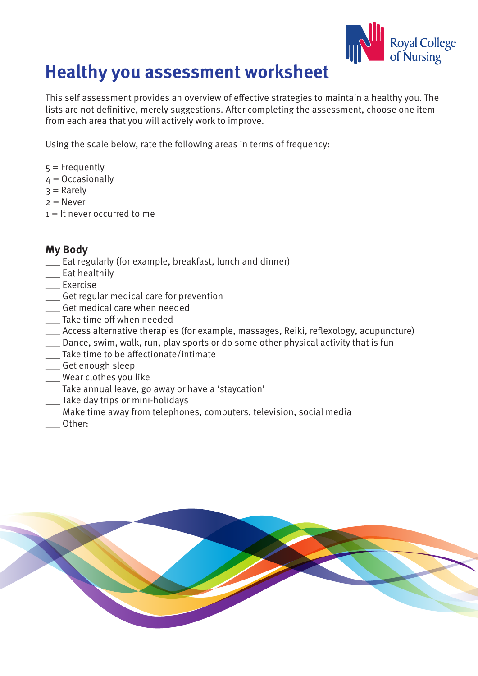

# **Healthy you assessment worksheet**

This self assessment provides an overview of effective strategies to maintain a healthy you. The lists are not definitive, merely suggestions. After completing the assessment, choose one item from each area that you will actively work to improve.

Using the scale below, rate the following areas in terms of frequency:

- $5$  = Frequently
- $4 = Occasionally$
- $3$  = Rarely
- $2 =$  Never
- $1 =$  It never occurred to me

# **My Body**

- \_\_\_ Eat regularly (for example, breakfast, lunch and dinner)
- \_\_\_ Eat healthily
- \_\_\_ Exercise
- \_\_\_ Get regular medical care for prevention
- \_\_\_ Get medical care when needed
- \_\_\_ Take time off when needed
- \_\_\_ Access alternative therapies (for example, massages, Reiki, reflexology, acupuncture)
- \_\_\_ Dance, swim, walk, run, play sports or do some other physical activity that is fun
- \_\_\_ Take time to be affectionate/intimate
- \_\_\_ Get enough sleep
- \_\_\_ Wear clothes you like
- \_\_\_ Take annual leave, go away or have a 'staycation'
- \_\_\_ Take day trips or mini-holidays
- \_\_\_ Make time away from telephones, computers, television, social media
- \_\_\_ Other:

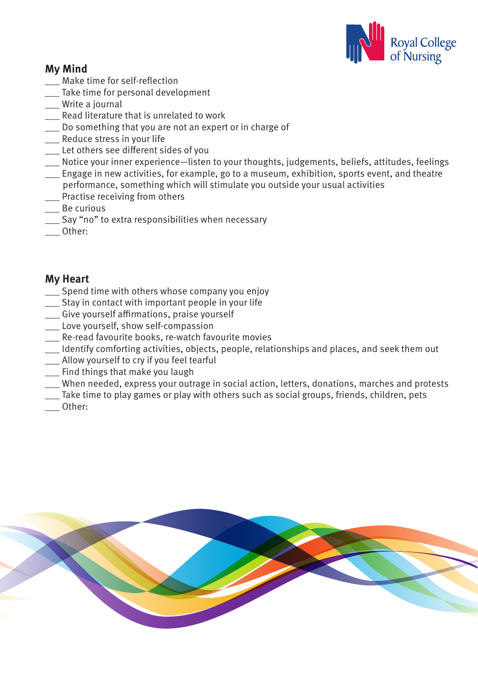

# **My Mind**

- \_\_\_ Make time for self-reflection
- \_\_\_ Take time for personal development
- \_\_\_ Write a journal
- \_\_\_ Read literature that is unrelated to work
- \_\_\_ Do something that you are not an expert or in charge of
- \_\_\_ Reduce stress in your life
- \_\_\_ Let others see different sides of you
- \_\_\_ Notice your inner experience—listen to your thoughts, judgements, beliefs, attitudes, feelings
- \_\_\_ Engage in new activities, for example, go to a museum, exhibition, sports event, and theatre performance, something which will stimulate you outside your usual activities
- **\_\_\_** Practise receiving from others
- \_\_\_ Be curious
- Say "no" to extra responsibilities when necessary
- \_\_\_ Other:

#### **My Heart**

- \_\_\_ Spend time with others whose company you enjoy
- \_\_\_ Stay in contact with important people in your life
- \_\_\_ Give yourself affirmations, praise yourself
- \_\_\_ Love yourself, show self-compassion
- \_\_\_ Re-read favourite books, re-watch favourite movies
- \_\_\_ Identify comforting activities, objects, people, relationships and places, and seek them out
- \_\_\_ Allow yourself to cry if you feel tearful
- \_\_\_ Find things that make you laugh
- When needed, express your outrage in social action, letters, donations, marches and protests
- \_\_\_ Take time to play games or play with others such as social groups, friends, children, pets
- \_\_\_ Other: